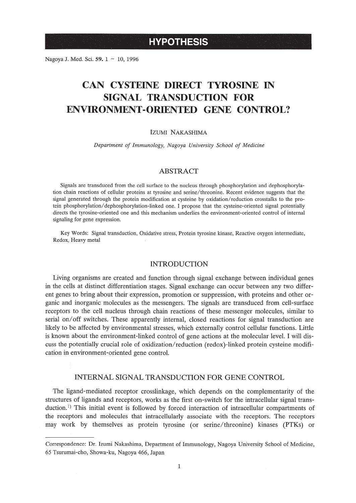# **HYPOTHESIS**

Nagoya J. Med. Sci. 59. 1 ~ 10, 1996

# **CAN CYSTEINE DIRECT TYROSINE IN SIGNAL TRANSDUCTION FOR ENVIRONMENT-ORIENTED GENE CONTROL?**

#### IZUMI NAKASHIMA

*Department of Immunology, Nagoya University School of Medicine*

## ABSTRACT

Signals are transduced from the cell surface to the nucleus through phosphorylation and dephosphorylation chain reactions of cellular proteins at tyrosine and serine/threonine. Recent evidence suggests that the signal generated through the protein modification at cysteine by oxidation/reduction crosstalks to the protein phosphorylation/dephosphorylation-linked one. I propose that the cysteine-oriented signal potentially directs the tyrosine-oriented one and this mechanism underlies the environment-oriented control of internal signaling for gene expression.

Key Words: Signal transduction, Oxidative stress, Protein tyrosine kinase, Reactive oxygen intermediate, Redox, Heavy metal

#### INTRODUCTION

Living organisms are created and function through signal exchange between individual genes in the cells at distinct differentiation stages. Signal exchange can occur between any two different genes to bring about their expression, promotion or suppression, with proteins and other organic and inorganic molecules as the messengers. The signals are transduced from cell-surface receptors to the cell nucleus through chain reactions of these messenger molecules, similar to serial on/off switches. These apparently internal, closed reactions for signal transduction are likely to be affected by environmental stresses, which externally control cellular functions. Little is known about the environment-linked control of gene actions at the molecular level. I will discuss the potentially crucial role of oxidization/reduction (redox)-linked protein cysteine modification in environment-oriented gene control.

#### INTERNAL SIGNAL TRANSDUCTION FOR GENE CONTROL

The ligand-mediated receptor crosslinkage, which depends on the complementarity of the structures of ligands and receptors, works as the first on-switch for the intracellular signal transduction.<sup>1)</sup> This initial event is followed by forced interaction of intracellular compartments of the receptors and molecules that intracellularly associate with the receptors. The receptors may work by themselves as protein tyrosine (or serine/threonine) kinases (PTKs) or

Correspondence: Dr. Izumi Nakashima, Department of Immunology, Nagoya University School of Medicine, 65 Tsurumai-cho, Showa-ku, Nagoya 466, Japan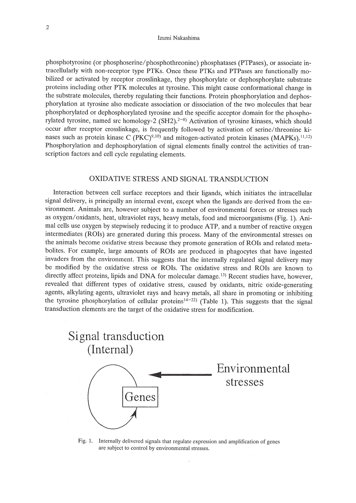#### Izumi Nakashima

phosphotyrosine (or phosphoserine/phosphothreonine) phosphatases (PTPases), or associate intracellularly with non-receptor type PTKs. Once these PTKs and PTPases are functionally mobilized or activated by receptor crosslinkage, they phosphorylate or dephosphorylate substrate proteins including other PTK molecules at tyrosine. This might cause conformational change in the substrate molecules, thereby regulating their functions. Protein phosphorylation and dephosphorylation at tyrosine also medicate association or dissociation of the two molecules that bear phosphorylated or dephosphorylated tyrosine and the specific acceptor domain for the phosphorylated tyrosine, named src homology-2  $(SH2).^{2-8}$ ) Activation of tyrosine kinases, which should occur after receptor crosslinkage, is frequently followed by activation of serine/threonine kinases such as protein kinase C  $(PKC)^{9,10}$  and mitogen-activated protein kinases (MAPKs).<sup>11,12)</sup> Phosphorylation and dephosphorylation of signal elements finally control the activities of transcription factors and cell cycle regulating elements.

## OXIDATIVE STRESS AND SIGNAL TRANSDUCTION

Interaction between cell surface receptors and their ligands, which initiates the intracellular signal delivery, is principally an internal event, except when the ligands are derived from the environment. Animals are, however subject to a number of environmental forces or stresses such as oxygen/oxidants, heat, ultraviolet rays, heavy metals, food and microorganisms (Fig. 1). Animal cells use oxygen by stepwisely reducing it to produce ATP, and a number of reactive oxygen intermediates (ROIs) are generated during this process. Many of the environmental stresses on the animals become oxidative stress because they promote generation of ROIs and related metabolites. For example, large amounts of ROIs are produced in phagocytes that have ingested invaders from the environment. This suggests that the internally regulated signal delivery may be modified by the oxidative stress or ROIs. The oxidative stress and ROIs are known to directly affect proteins, lipids and DNA for molecular damage.<sup>13</sup>) Recent studies have, however, revealed that different types of oxidative stress, caused by oxidants, nitric oxide-generating agents, alkylating agents, ultraviolet rays and heavy metals, all share in promoting or inhibiting the tyrosine phosphorylation of cellular proteins<sup>14-22</sup>) (Table 1). This suggests that the signal transduction elements are the target of the oxidative stress for modification.



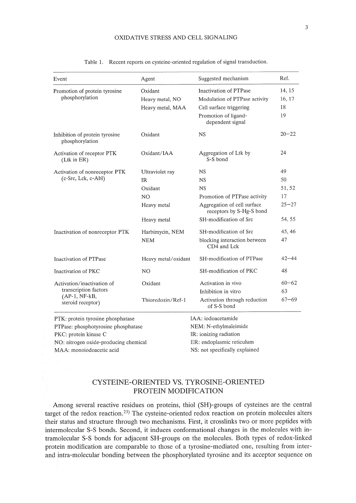| Oxidant<br>Heavy metal, NO<br>Heavy metal, MAA<br>Oxidant<br>Oxidant/IAA<br>Ultraviolet ray<br>Oxidant | Inactivation of PTPase<br>Modulation of PTPase activity<br>Cell surface triggering<br>Promotion of ligand-<br>dependent signal<br><b>NS</b><br>Aggregation of Ltk by<br>S-S bond<br><b>NS</b><br><b>NS</b><br><b>NS</b> | 14, 15<br>16, 17<br>18<br>19<br>$20 - 22$<br>24<br>49<br>50 |
|--------------------------------------------------------------------------------------------------------|-------------------------------------------------------------------------------------------------------------------------------------------------------------------------------------------------------------------------|-------------------------------------------------------------|
|                                                                                                        |                                                                                                                                                                                                                         |                                                             |
|                                                                                                        |                                                                                                                                                                                                                         |                                                             |
|                                                                                                        |                                                                                                                                                                                                                         |                                                             |
|                                                                                                        |                                                                                                                                                                                                                         |                                                             |
|                                                                                                        |                                                                                                                                                                                                                         |                                                             |
|                                                                                                        |                                                                                                                                                                                                                         |                                                             |
|                                                                                                        |                                                                                                                                                                                                                         |                                                             |
|                                                                                                        |                                                                                                                                                                                                                         |                                                             |
|                                                                                                        |                                                                                                                                                                                                                         | 51, 52                                                      |
| N <sub>O</sub>                                                                                         | Promotion of PTPase activity                                                                                                                                                                                            | 17                                                          |
| Heavy metal                                                                                            | Aggregation of cell surface<br>receptors by S-Hg-S bond                                                                                                                                                                 | $25 - 27$                                                   |
| Heavy metal                                                                                            | SH-modification of Src                                                                                                                                                                                                  | 54, 55                                                      |
| Harbimycin, NEM                                                                                        | SH-modification of Src                                                                                                                                                                                                  | 45, 46                                                      |
| <b>NEM</b>                                                                                             | blocking interaction between<br>CD4 and Lck                                                                                                                                                                             | 47                                                          |
| Heavy metal/oxidant                                                                                    | SH-modification of PTPase                                                                                                                                                                                               | $42 - 44$                                                   |
| N <sub>O</sub>                                                                                         | SH-modification of PKC                                                                                                                                                                                                  | 48                                                          |
| Oxidant                                                                                                | Activation in vivo                                                                                                                                                                                                      | $60 - 62$                                                   |
|                                                                                                        | Inhibition in vitro                                                                                                                                                                                                     | 63                                                          |
| Thioredoxin/Ref-1                                                                                      | Activation through reduction<br>of S-S bond                                                                                                                                                                             | $67 - 69$                                                   |
|                                                                                                        |                                                                                                                                                                                                                         | IAA: iodoacetamide                                          |

|  | Table 1. Recent reports on cysteine-oriented regulation of signal transduction. |  |  |  |  |
|--|---------------------------------------------------------------------------------|--|--|--|--|
|--|---------------------------------------------------------------------------------|--|--|--|--|

PTPase: phosphotyrosine phosphatase NEM: N-ethylmaleimide PKC: protein kinase C **IR:** ionizing radiation NO: nitrogen oxide-producing chemical ER: endoplasmic reticulum MAA: monoiodoacetic acid NS: not specifically explained

# CYSTEINE-ORIENTED VS. TYROSINE-ORIENTED PROTEIN MODIFICATION

Among several reactive residues on proteins, thiol (SH)-groups of cysteines are the central target of the redox reaction. 23) The cysteine-oriented redox reaction on protein molecules alters their status and structure through two mechanisms. First, it crosslinks two or more peptides with intermolecular S-S bonds. Second, it induces conformational changes in the molecules with intramolecular S-S bonds for adjacent SH-groups on the molecules. Both types of redox-linked protein modification are comparable to those of a tyrosine-mediated one, resulting from interand intra-molecular bonding between the phosphorylated tyrosine and its acceptor sequence on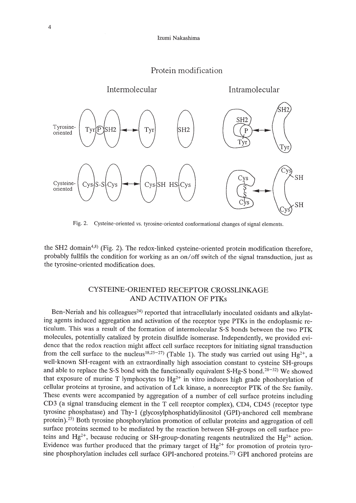# Protein modification



Fig. 2. Cysteine-oriented vs. tyrosine-oriented conformational changes of signal elements.

the SH2 domain<sup>4,8)</sup> (Fig. 2). The redox-linked cysteine-oriented protein modification therefore, probably fullfils the condition for working as an on/off switch of the signal transduction, just as the tyrosine-oriented modification does.

# CYSTEINE-ORIENTED RECEPTOR CROSSLINKAGE AND ACTIVATION OF PTKs

Ben-Neriah and his colleagues<sup>24)</sup> reported that intracellularly inoculated oxidants and alkylating agents induced aggregation and activation of the receptor type PTKs in the endoplasmic reticulum. This was a result of the formation of intermolecular S-S bonds between the two PTK molecules, potentially catalized by protein disulfide isomerase. Independently, we provided evidence that the redox reaction might affect cell surface receptors for initiating signal transduction from the cell surface to the nucleus<sup>18,25-27)</sup> (Table 1). The study was carried out using  $Hg^{2+}$ , a well-known SH-reagent with an extraordinally high association constant to cysteine SH-groups and able to replace the S-S bond with the functionally equivalent S-Hg-S bond.<sup>28-32)</sup> We showed that exposure of murine T lymphocytes to  $Hg^{2+}$  in vitro induces high grade phoshorylation of cellular proteins at tyrosine, and activation of Lck kinase, a nonreceptor PTK of the Src family. These events were accompanied by aggregation of a number of cell surface proteins including CD3 (a signal transducing element in the T cell receptor complex), CD4, CD45 (receptor type tyrosine phosphatase) and Thy-l (glycosylphosphatidylinositol (GPI)-anchored cell membrane protein).25) Both tyrosine phosphorylation promotion of cellular proteins and aggregation of cell surface proteins seemed to be mediated by the reaction between SH-groups on cell surface proteins and  $Hg^{2+}$ , because reducing or SH-group-donating reagents neutralized the  $Hg^{2+}$  action. Evidence was further produced that the primary target of  $Hg^{2+}$  for promotion of protein tyrosine phosphorylation includes cell surface GPI-anchored proteins.<sup>27)</sup> GPI anchored proteins are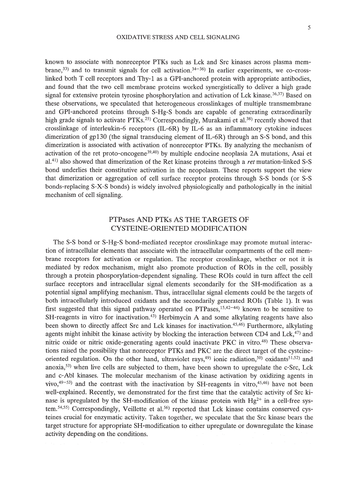known to associate with nonreceptor PTKs such as Lck and Src kinases across plasma membrane,<sup>33)</sup> and to transmit signals for cell activation.<sup>34-36)</sup> In earlier experiments, we co-crosslinked both T cell receptors and Thy-l as a GPI-anchored protein with appropriate antibodies, and found that the two cell membrane proteins worked synergistically to deliver a high grade signal for extensive protein tyrosine phosphorylation and activation of Lck kinase.<sup>36,37</sup>) Based on these observations, we speculated that heterogeneous crosslinkages of multiple transmembrane and GPI-anchored proteins through S-Hg-S bonds are capable of generating extraordinarily high grade signals to activate PTKs.<sup>25)</sup> Correspondingly, Murakami et al.<sup>38)</sup> recently showed that crosslinkage of interleukin-6 receptors (IL-6R) by IL-6 as an inflammatory cytokine induces dimerization of gp130 (the signal transducing element of IL-6R) through an S-S bond, and this dimerization is associated with activation of nonreceptor PTKs. By analyzing the mechanism of activation of the ret proto-oncogene<sup>39,40</sup>) by multiple endocine neoplasia 2A mutations, Asai et a1.<sup>41</sup> ) also showed that dimerization of the Ret kinase proteins through a *ret* mutation-linked S-S bond underlies their constitutive activation in the neopolasm. These reports support the view that dimerization or aggregation of cell surface receptor proteins through S-S bonds (or S-S bonds-replacing S-X-S bonds) is widely involved physiologically and pathologically in the initial mechanism of cell signaling.

# PTPases AND PTKs AS THE TARGETS OF CYSTEINE-ORIENTED MODIFICATION

The S-S bond or S-Hg-S bond-mediated receptor crosslinkage may promote mutual interaction of intracellular elements that associate with the intracellular compartments of the cell membrane receptors for activation or regulation. The receptor crosslinkage, whether or not it is mediated by redox mechanism, might also promote production of ROls in the cell, possibly through a protein phosporylation-dependent signaling. These ROls could in turn affect the cell surface receptors and intracellular signal elements secondarily for the SH-modification as a potential signal amplifying mechanism. Thus, intracellular signal elements could be the targets of both intracellularly introduced oxidants and the secondarily generated ROls (Table 1). It was first suggested that this signal pathway operated on PTPases,15,42-44) known to be sensitive to  $SH$ -reagents in vitro for inactivation.<sup>43)</sup> Herbimycin A and some alkylating reagents have also been shown to directly affect Src and Lck kinases for inactivation.45,46) Furthermore, alkylating agents might inhibit the kinase activity by blocking the interaction between CD4 and Lck, $47$ ) and nitric oxide or nitric oxide-generating agents could inactivate PKC in vitro.48) These observations raised the possibility that nonreceptor PTKs and PKC are the direct target of the cysteineoriented regulation. On the other hand, ultraviolet rays,<sup>49</sup>) ionic radiation,<sup>50</sup>) oxidants<sup>51,52</sup>) and anoxia,53) when live cells are subjected to them, have been shown to upregulate the c-Src, Lck and c-Abl kinases. The molecular mechanism of the kinase activation by oxidizing agents in vivo,  $49-53$ ) and the contrast with the inactivation by SH-reagents in vitro,  $45,46$ ) have not been well-explained. Recently, we demonstrated for the first time that the catalytic activity of Src kinase is upregulated by the SH-modification of the kinase protein with  $Hg^{2+}$  in a cell-free system. 54,55) Correspondingly, Veillette et al. 56) reported that Lck kinase contains conserved cysteines crucial for enzymatic activity. Taken together, we speculate that the Src kinase bears the target structure for appropriate SH-modification to either upregulate or downregulate the kinase activity depending on the conditions.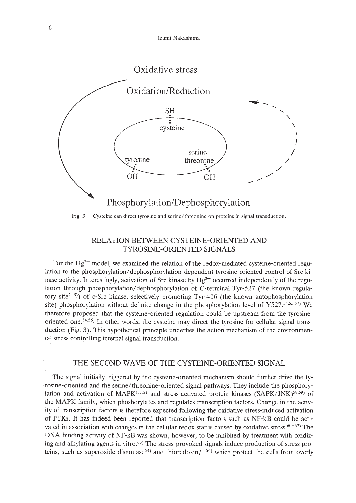

Fig. 3. Cysteine can direct tyrosine and serine/threonine on proteins in signal transduction.

# RELATION BETWEEN CYSTEINE-ORIENTED AND TYROSINE-ORIENTED SIGNALS

For the Hg<sup>2+</sup> model, we examined the relation of the redox-mediated cysteine-oriented regulation to the phosphorylation/dephosphorylation-dependent tyrosine-oriented control of Src kinase activity. Interestingly, activation of Src kinase by  $Hg^{2+}$  occurred independently of the regulation through phosphorylation/dephosphorylation of C-terminal Tyr-527 (the known regulatory site<sup>2-5)</sup>) of c-Src kinase, selectively promoting Tyr-416 (the known autophosphorylation site) phosphorylation without definite change in the phosphorylation level of Y527.54,55,57) We therefore proposed that the cysteine-oriented regulation could be upstream from the tyrosineoriented one.54,55) In other words, the cysteine may direct the tyrosine for cellular signal transduction (Fig. 3). This hypothetical principle underlies the action mechanism of the environmental stress controlling internal signal transduction.

### THE SECOND WAVB OF THE CYSTEINE-ORIENTED SIGNAL

The signal initially triggered by the cysteine-oriented mechanism should further drive the tyrosine-oriented and the serine/threonine-oriented signal pathways. They include the phosphorylation and activation of  $MAPK<sup>11,12</sup>$  and stress-activated protein kinases (SAPK/JNK)<sup>58,59)</sup> of the MAPK family, which phoshorylates and regulates transcription factors. Change in the activity of transcription factors is therefore expected following the oxidative stress-induced activation of PTKs. It has indeed been reported that transcription factors such as NF-kB could be activated in association with changes in the cellular redox status caused by oxidative stress.<sup>60-62</sup>) The DNA binding activity of NF-kB was shown, however, to be inhibited by treatment with oxidizing and alkylating agents in vitro.<sup>63)</sup> The stress-provoked signals induce production of stress proteins, such as superoxide dismutase<sup>64)</sup> and thioredoxin,<sup>65,66</sup>) which protect the cells from overly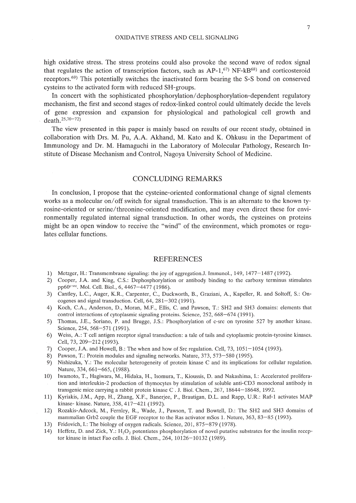high oxidative stress. The stress proteins could also provoke the second wave of redox signal that regulates the action of transcription factors, such as  $AP-1,^{(7)}$  NF-kB<sup>68)</sup> and corticosteroid receptors.<sup>69)</sup> This potentially switches the inactivated form bearing the S-S bond on conserved cysteins to the activated form with reduced SH-groups.

In concert with the sophisticated phosphorylation/dephosphorylation-dependent regulatory mechanism, the first and second stages of redox-linked control could ultimately decide the levels of gene expression and expansion for physiological and pathological cell growth and death. $25,70-72$ 

The view presented in this paper is mainly based on results of our recent study, obtained in collaboration with Drs. M. Pu, AA Akhand, M. Kato and K. Ohkusu in the Department of Immunology and Dr. M. Hamaguchi in the Laboratory of Molecular Pathology, Research Institute of Disease Mechanism and Control, Nagoya University School of Medicine.

### CONCLUDING REMARKS

In conclusion, I propose that the cysteine-oriented conformational change of signal elements works as a molecular on/off switch for signal transduction. This is an alternate to the known tyrosine-oriented or serine/threonine-oriented modification, and may even direct these for environmentally regulated internal signal transduction. In other words, the cysteines on proteins might be an open window to receive the "wind" of the environment, which promotes or regulates cellular functions.

### REFERENCES

- 1) Metzger, H,: Transmembrane signaling: the joy of aggregationJ. Immunol., 149, 1477-1487 (1992).
- 2) Cooper, J.A and King, CS.: Dephosphorylation or antibody binding to the carboxy terminus stimulates pp60<sup>c-src</sup>. Mol. Cell. Biol., 6, 4467–4477 (1986).
- 3) Cantley, L.C., Auger, K.R., Carpenter, C, Duckworth, B., Graziani, A, Kapeller, R. and Soltoff, S.: Oncogenes and signal transduction. Cell, 64, 281-302 (1991).
- 4) Koch, CA., Anderson, D., Moran, M.F., Ellis, C and Pawson, T.: SH2 and SH3 domains: elements that control interactions of cytoplasmic signaling proteins. Science, 252, 668-674 (1991).
- 5) Thomas, J.E., Soriano, P. and Brugge, J.S.: Phosphorylation of c-src on tyrosine 527 by another kinase. Science, 254, 568-571 (1991).
- 6) Weiss, A: T cell antigen receptor signal transduction: a tale of tails and cytoplasmic protein-tyrosine kinases. Cell, 73, 209-212 (1993),
- 7) Cooper, J.A and Howell, B.: The when and how of Src regulation. Cell, 73,1051-1054 (1993).
- 8) Pawson, T.: Protein modules and signaling networks. Nature, 373, 573-580 (1995).
- 9) Nishizuka, Y.: The molecular heterogeneity of protein kinase C and its implications for cellular regulation. Nature, 334, 661-665, (1988).
- 10) Iwamoto, T., Hagiwara, M., Hidaka, H., Isomura, T., Kioussis, D. and Nakashima, I.: Accelerated proliferation and interleukin-2 production of thymocytes by stimulation of soluble anti-CD3 monoclonal antibody in transgenic mice carrying a rabbit protein kinase C . 1. BioI. Chern., 267, 18644-18648, 1992.
- 11) Kyriakis, J.M., App, H., Zhang, X.F., Banerjee, P., Brautigan, D.L. and Rapp, U.R.: Raf-1 activates MAP kinase- kinase. Nature, 358, 417-421 (1992).
- 12) Rozakis-Adcock, M., Fernley, R., Wade, J., Pawson, T. and Bowtell, D.: The SH2 and SH3 domains of mammalian Grb2 couple the EGF receptor to the Ras activator mSos 1. Nature, 363, 83–85 (1993).
- 13) Fridovich, I.: The biology of oxygen radicals. Science, 201, 875-879 (1978).
- 14) Heffetz, D. and Zick, Y.:  $H_2O_2$  potentiates phosphorylation of novel putative substrates for the insulin receptor kinase in intact Fao cells. J. BioI. Chern., 264, 10126-10132 (1989).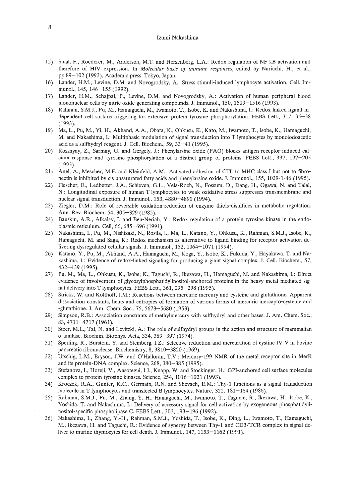#### Izumi Nakashima

- 15) Staal, F., Roederer, M., Anderson, M.T. and Herzenberg, L.A.: Redox regulation of NF-kB activation and therefore of HIV expression. In *Molecular basis of immune responses,* edited by Nariuchi, H., et aI., pp.89-102 (1993), Academic press, Tokyo, Japan.
- 16) Lander, H.M., Levine, D.M. and Novogrodsky, A.: Stress stimuli-induced lymphocyte activation. Cell. Immunol., 145, 146-155 (1992).
- 17) Lander, H.M., Sehajpal, P., Levine, D.M. and Novogrodsky, A.: Activation of human peripheral blood mononuclear cells by nitric oxide-generating compounds. J. Immunol., 150, 1509-1516 (1993).
- 18) Rahman, S.M.J., Pu, M., Hamaguchi, M., Iwamoto, T., Isobe, K. and Nakashima, 1.: Redox-linked ligand-independent cell surface triggering for extensive protein tyrosine phosphorylation. FEBS Lett., 317, 35-38 (1993).
- 19) Ma, L., Pu, M., Yi, H., Akhand, A.A., Obata, N., Ohkusu, K., Kato, M., Iwamoto, T., Isobe, K., Hamaguchi, M. and Nakashima, 1.: Multiphasic modulation of signal transduction into T lymphocytes by monoiodoacetic acid as a sulfhydryl reagent. J. Cell. Biochem., 59, 33-41 (1995).
- 20) Rozsnyay, Z., Sarmay, G. and Gergely, J.: Phenylarsine oxide (PAO) blocks antigen receptor-induced calcium response and tyrosine phosphorylation of a distinct group of proteins. FEBS Lett., 337, 197-205 (1993).
- 21) Anel, A., Mescher, M.F. and Kleinfeld, A.M.: Activated adhesion of CTL to MHC class I but not to fibronectin is inhibited by cis unsaturated fatty acids and phenylarsine oxide. J. Immunol., 155, 1039-1-46 (1995).
- 22) Flescher, E., Ledbetter, lA., Schieven, G.L., Vela-Roch, N., Fossum, D., Dang, H., Ogawa, N. and Talal, N.: Longitudinal exposure of human T lymphocytes to weak oxidative stress suppresses transmembrane and nuclear signal transduction. J. Immunol., 153,4880-4890 (1994).
- 23) Ziegler, D.M.: Role of reversible oxidation-reduction of enzyme thiols-disulfides in metabolic regulation. Ann. Rev. Biochem. 54, 305-329 (1985).
- 24) Bauskin, A.R., Alkalay, 1. and Ben-Neriah, Y.: Redox regulation of a protein tyrosine kinase in the endoplasmic reticulum. Cell, 66, 685-696 (1991).
- 25) Nakashima, 1., Pu, M., Nishizaki, N., Rosila, 1., Ma, L., Katano, Y., Ohkusu, K., Rahman, S.M.J., Isobe, K., Hamaguchi, M. and Saga, K.: Redox mechanism as alternative to ligand binding for receptor activation delivering dysregulated cellular signals. J. Immunol., 152, 1064-1071 (1994).
- 26) Katano, Y., Pu, M., Akhand, A.A., Hamaguchi, M., Koga, Y., Isobe, K., Fukuda, Y., Hayakawa, T. and Nakashima, 1.: Evidence of redox-linked signaling for producing a giant signal complex. J. Cell. Biochem., 57, 432-439 (1995).
- 27) Pu, M., Ma, L., Ohkusu, K., Isobe, K., Taguchi, R., Ikezawa, H., Hamaguchi, M. and Nakashima, 1.: Direct evidence of involvement of glycosylphosphatidylinositol-anchored proteins in the heavy metal-mediated signal delivery into T lymphocytes. FEBS Lett., 361, 295-298 (1995).
- 28) Stricks, W. and Kolthoff, 1.M.: Reactions between mercuric mercury and cysteine and glutathione. Apparent dissociation constants, heats and entropies of formation of various forms of mercuric mercapto-cysteine and -glutathione. J. Am. Chern. Soc., 75, 5673-5680 (1953).
- 29) Simpson, R.B.: Association constrants of methylmercury with sulfhydryl and other bases. J. Am. Chern. Soc., 83,4711-4717 (1961).
- 30) Steer, M.L., Tal, N. and Levitzki, A.: The role of sulfhydryl groups in the action and structure of mammalian u-amilase. Biochim. Biophys. Acta, 334, 389-397 (1974).
- 31) Sperling, R., Burstein, Y. and Steinberg, 1.Z.: Selective reduction and mercuration of cystine IV-V in bovine pancreatic ribonuclease. Biochemistry, 8, 3810-3820 (1969).
- 32) Utschig, L.M., Bryson, J.W. and O'Halloran, T.V.: Mercury-199 NMR of the metal receptor site in MerR and its protein-DNA complex. Science, 268, 380-385 (1995).
- 33) Stefanova, 1., Horeji, V., Ansotegui, I.J., Knapp, W. and Stockinger, H.: GPI-anchored cell surface molecules complex to protein tyrosine kinases. Science, 254,1016-1021 (1993).
- 34) Kroczek, R.A., Gunter, K.c., Germain, R.N. and Shevach, E.M.: Thy-l functions as a signal transduction molecule in T lymphocytes and transfected B lymphocytes. Nature, 322, 181-184 (1986).
- 35) Rahman, S.M.J., Pu, M., Zhang, Y.-H., Hamaguchi, M., Iwamoto, T., Taguchi, R., Ikezawa, H., Isobe, K., Yoshida, T. and Nakashima, 1.: Delivery of accessory signal for cell activation by exogeneous phosphatidylinositol-specific phospholipase C. FEBS Lett., 303, 193-196 (1992).
- 36) Nakashima, 1., Zhang, Y.-H., Rahman, S.M.J., Yoshida, T., Isobe, K., Ding, L., Iwamoto, T., Hamaguchi, M., Ikezawa, H. and Taguchi, R.: Evidence of synergy between Thy-l and *CD3/TCR* complex in signal deliver to murine thymocytes for cell death. J. Immunol., 147, 1153–1162 (1991).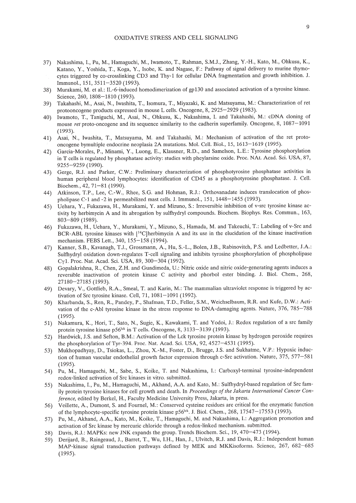- 37) Nakashima, I., Pu, M., Hamaguchi, M., Iwamoto, T., Rahman, S.M.J., Zhang, Y.-H., Kato, M., Ohkusu, K., Katano, Y., Yoshida, T., Koga, Y., Isobe, K. and Nagase, F.: Pathway of signal delivery to murine thymocytes triggered by co-crosslinking CD3 and Thy-l for cellular DNA fragmentation and growth inhibition. J. Immuno!., 151,3511-3520 (1993).
- 38) Murakami, M. et a!.: IL-6-induced homodimerization of gp130 and associated activation of a tyrosine kinase. Science, 260, 1808-1810 (1993).
- 39) Takahashi, M., Asai, N., Iwashita, T., Isomura, T., Miyazaki, K. and Matsuyama, M.: Characterization of ret protooncogene products expressed in mouse L cells. Oncogene, 8, 2925-2929 (1983).
- 40) Iwamoto, T., Taniguchi, M., Asai, N., Ohkusu, K., Nakashima, I. and Takahashi, M.: cDNA cloning of mouse *ret* proto-oncogene and its sequence similarity to the cadherin superfamily. Oncogene, 8, 1087-1091 (1993).
- 41) Asai, N., Iwashita, T., Matsuyama, M. and Takahashi, M.: Mechanism of activation of the ret protooncogene bymultiple endocrine neoplasia 2A mutations. Mo!. Cel!. BioI., 15, 1613-1619 (1995).
- 42) Garcia-Morales, P., Minami, Y., Luong, E., Klausner, R.D., and Samelson, L.E.: Tyrosine phosphorylation in T cells is regulated by phosphatase activity: studies with pheylarsine oxide. Proc. NAt. Acad. Sci. USA, 87, 9255-9259 (1990).
- 43) Gerge, R.J. and Parker, C.W.: Preliminary characterization of phosphotyrosine phosphatase activities in human peripheral blood lymphocytes: identification of CD45 as a phosphotyrosine phosphatase. J. Cel!. Biochem., 42, 71-81 (1990).
- 44) Atkinson, T.P., Lee, c.-W., Rhee, S.G. and Hohman, R.J.: Orthovanadate induces translocation of phospholipase C-1 and -2 in permeabilized mast cells. 1. Immuno!., 151, 1448-1455 (1993).
- 45) Uehara, Y., Fukazawa, H., Murakami, Y. and Mizuno, S.: Irreversible inhibition of v-src tyrosine kinase activity by herbimycin A and its abrogation by sulfhydryl compounds. Biochem. Biophys. Res. Commun., 163, 803-809 (1989).
- 46) Fukazawa, H., Uehara, Y., Murakami, Y., Mizuno, S., Hamada, M. and Takeuchi, T.: Labeling of v-Src and BCR-ABL tyrosine kinases with [14C)herbimycin A and its use in the elucidation of the kinase inactivation mechanism. FEBS Lett., 340,155-158 (1994).
- 47) Kanner, S.8., Kavanagh, T.J., Grossmann, A., Hu, S.-L., Bolen, J.B., Rabinovitch, P.S. and Ledbetter, J.A.: Sulfhydryl oxidation down-regulates T-cell signaling and inhibits tyrosine phosphorylation of phospholipase Cyl. Proc. Nat. Acad. Sci. USA, 89, 300-304 (1992).
- 48) Gopalakrishna, R., Chen, Z.H. and Gundimeda, U.: Nitric oxide and nitric oxide-generating agents induces a reversible inactivation of protein kinase C activity and phorbol ester binding. J. BioI. Chern., 268, 27180-27185 (1993).
- 49) Devary, V., Gottlieb, R.A., Smeal, T. and Karin, M.: The mammalian ultraviolet response is triggered by activation of Src tyrosine kinase. Cell, 71,1081-1091 (1992).
- 50) Kharbanda, S., Ren, R., Pandey, P., Shafman, T.D., Feller, S.M., Weichselbaum, R.R. and Kufe, D.W.: Activation of the c-Abl tyrosine kinase in the stress response to DNA-damaging agents. Nature, 376, 785-788 (1995).
- 51) Nakamura, K., Hori, T., Sato, N., Sugie, K., Kawakami, T. and Yodoi, 1.: Redox regulation of a src family protein tyrosine kinase p56<sup>lck</sup> in T cells. Oncogene, 8, 3133-3139 (1993).
- 52) Hardwick, 1.S. and Sefton, B.M.: Activation of the Lck tyrosine protein kinase by hydrogen peroxide requires the phosphorylation of Tyr-394. Proc. Nat. Acad. Sci. USA, 92, 4527-4531 (1995).
- 53) Mukhopadhyay, D., Tsiokas, L., Zhou, X.-M., Foster, D., Brugge, J.S. and Sukhatme, V.P.: Hypoxic induction of human vascular endothelial growth factor expression through c-Src activation. Nature, 375, 577-581 (1995).
- 54) Pu, M., Hamaguchi, M., Sabe, S., Koike, T. and Nakashima, I.: Carboxyl-terminal tyrosine-independent redox-linked activation of Src kinases in vitro. submitted.
- 55) Nakashima, I., Pu, M., Hamaguchi, M., Akhand, A.A. and Kato, M.: Sulfhydryl-based regulation of Src family protein tyrosine kinases for cell growth and death. In Proceedings of the Jakarta International Cancer Con*ference,* edited by Berkel, H., Faculty Medicine University Press, Jakarta, in press.
- 56) Veillette, A., Dumont, S. and Fournel, M.: Conserved cysteine residues are critical for the enzymatic function of the lymphocyte-specific tyrosine protein kinase p56<sup>1ck</sup>. J. Biol. Chem., 268, 17547-17553 (1993).
- 57) Pu, M., Akhand, A.A., Kato, M., Koike, T., Hamaguchi, M. and Nakashima, I.: Aggregation promotion and activation of Src kinase by mercuric chloride through a redox-linked mechanism. submitted.
- 58) Davis, R.J.: MAPKs: new JNK expands the group. Trends Biochem. Sci., 19,470-473 (1994).
- 59) Derijard, B., Raingeaud, J., Barret, T., Wu, I.H., Han, J., Ulvitch, R.J. and Davis, R.J.: Independent human MAP-kinase signal transduction pathways defined by MEK and MKKisoforms. Science, 267, 682-685 (1995).